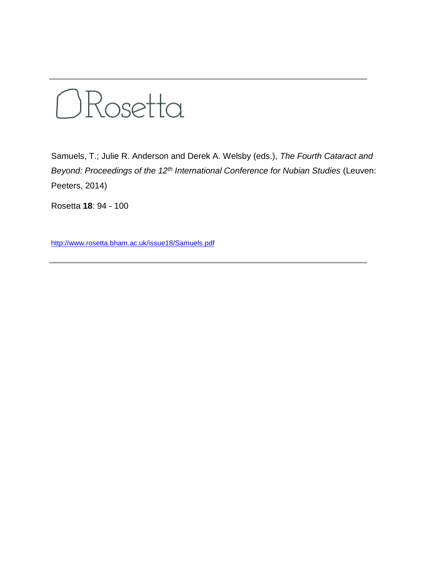

Samuels, T.; Julie R. Anderson and Derek A. Welsby (eds.), *The Fourth Cataract and Beyond: Proceedings of the 12th International Conference for Nubian Studies* (Leuven: Peeters, 2014)

Rosetta **18**: 94 - 100

<http://www.rosetta.bham.ac.uk/issue18/Samuels.pdf>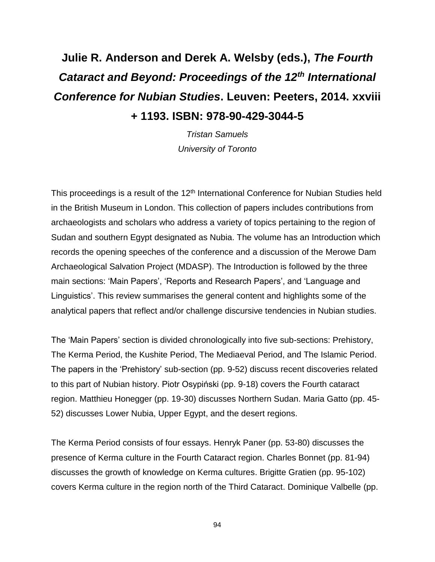## **Julie R. Anderson and Derek A. Welsby (eds.),** *The Fourth Cataract and Beyond: Proceedings of the 12th International Conference for Nubian Studies***. Leuven: Peeters, 2014. xxviii + 1193. ISBN: 978-90-429-3044-5**

*Tristan Samuels University of Toronto*

This proceedings is a result of the 12<sup>th</sup> International Conference for Nubian Studies held in the British Museum in London. This collection of papers includes contributions from archaeologists and scholars who address a variety of topics pertaining to the region of Sudan and southern Egypt designated as Nubia. The volume has an Introduction which records the opening speeches of the conference and a discussion of the Merowe Dam Archaeological Salvation Project (MDASP). The Introduction is followed by the three main sections: 'Main Papers', 'Reports and Research Papers', and 'Language and Linguistics'. This review summarises the general content and highlights some of the analytical papers that reflect and/or challenge discursive tendencies in Nubian studies.

The 'Main Papers' section is divided chronologically into five sub-sections: Prehistory, The Kerma Period, the Kushite Period, The Mediaeval Period, and The Islamic Period. The papers in the 'Prehistory' sub-section (pp. 9-52) discuss recent discoveries related to this part of Nubian history. Piotr Osypiński (pp. 9-18) covers the Fourth cataract region. Matthieu Honegger (pp. 19-30) discusses Northern Sudan. Maria Gatto (pp. 45- 52) discusses Lower Nubia, Upper Egypt, and the desert regions.

The Kerma Period consists of four essays. Henryk Paner (pp. 53-80) discusses the presence of Kerma culture in the Fourth Cataract region. Charles Bonnet (pp. 81-94) discusses the growth of knowledge on Kerma cultures. Brigitte Gratien (pp. 95-102) covers Kerma culture in the region north of the Third Cataract. Dominique Valbelle (pp.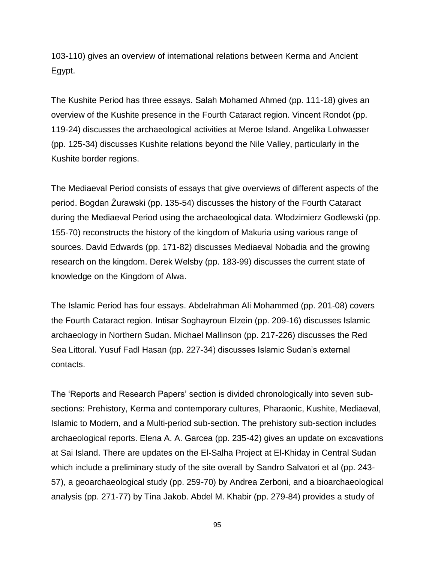103-110) gives an overview of international relations between Kerma and Ancient Egypt.

The Kushite Period has three essays. Salah Mohamed Ahmed (pp. 111-18) gives an overview of the Kushite presence in the Fourth Cataract region. Vincent Rondot (pp. 119-24) discusses the archaeological activities at Meroe Island. Angelika Lohwasser (pp. 125-34) discusses Kushite relations beyond the Nile Valley, particularly in the Kushite border regions.

The Mediaeval Period consists of essays that give overviews of different aspects of the period. Bogdan Żurawski (pp. 135-54) discusses the history of the Fourth Cataract during the Mediaeval Period using the archaeological data. Włodzimierz Godlewski (pp. 155-70) reconstructs the history of the kingdom of Makuria using various range of sources. David Edwards (pp. 171-82) discusses Mediaeval Nobadia and the growing research on the kingdom. Derek Welsby (pp. 183-99) discusses the current state of knowledge on the Kingdom of Alwa.

The Islamic Period has four essays. Abdelrahman Ali Mohammed (pp. 201-08) covers the Fourth Cataract region. Intisar Soghayroun Elzein (pp. 209-16) discusses Islamic archaeology in Northern Sudan. Michael Mallinson (pp. 217-226) discusses the Red Sea Littoral. Yusuf Fadl Hasan (pp. 227-34) discusses Islamic Sudan's external contacts.

The 'Reports and Research Papers' section is divided chronologically into seven subsections: Prehistory, Kerma and contemporary cultures, Pharaonic, Kushite, Mediaeval, Islamic to Modern, and a Multi-period sub-section. The prehistory sub-section includes archaeological reports. Elena A. A. Garcea (pp. 235-42) gives an update on excavations at Sai Island. There are updates on the El-Salha Project at El-Khiday in Central Sudan which include a preliminary study of the site overall by Sandro Salvatori et al (pp. 243- 57), a geoarchaeological study (pp. 259-70) by Andrea Zerboni, and a bioarchaeological analysis (pp. 271-77) by Tina Jakob. Abdel M. Khabir (pp. 279-84) provides a study of

95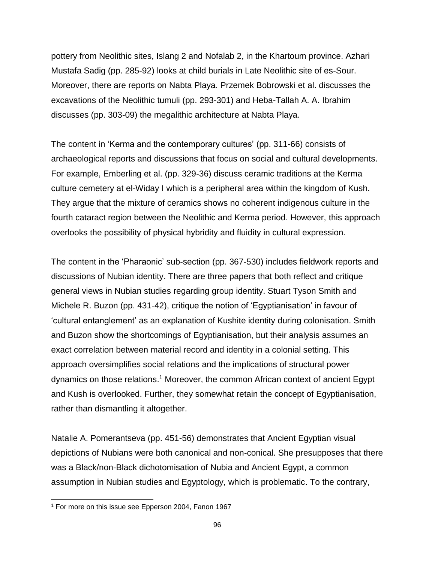pottery from Neolithic sites, Islang 2 and Nofalab 2, in the Khartoum province. Azhari Mustafa Sadig (pp. 285-92) looks at child burials in Late Neolithic site of es-Sour. Moreover, there are reports on Nabta Playa. Przemek Bobrowski et al. discusses the excavations of the Neolithic tumuli (pp. 293-301) and Heba-Tallah A. A. Ibrahim discusses (pp. 303-09) the megalithic architecture at Nabta Playa.

The content in 'Kerma and the contemporary cultures' (pp. 311-66) consists of archaeological reports and discussions that focus on social and cultural developments. For example, Emberling et al. (pp. 329-36) discuss ceramic traditions at the Kerma culture cemetery at el-Widay I which is a peripheral area within the kingdom of Kush. They argue that the mixture of ceramics shows no coherent indigenous culture in the fourth cataract region between the Neolithic and Kerma period. However, this approach overlooks the possibility of physical hybridity and fluidity in cultural expression.

The content in the 'Pharaonic' sub-section (pp. 367-530) includes fieldwork reports and discussions of Nubian identity. There are three papers that both reflect and critique general views in Nubian studies regarding group identity. Stuart Tyson Smith and Michele R. Buzon (pp. 431-42), critique the notion of 'Egyptianisation' in favour of 'cultural entanglement' as an explanation of Kushite identity during colonisation. Smith and Buzon show the shortcomings of Egyptianisation, but their analysis assumes an exact correlation between material record and identity in a colonial setting. This approach oversimplifies social relations and the implications of structural power dynamics on those relations. <sup>1</sup> Moreover, the common African context of ancient Egypt and Kush is overlooked. Further, they somewhat retain the concept of Egyptianisation, rather than dismantling it altogether.

Natalie A. Pomerantseva (pp. 451-56) demonstrates that Ancient Egyptian visual depictions of Nubians were both canonical and non-conical. She presupposes that there was a Black/non-Black dichotomisation of Nubia and Ancient Egypt, a common assumption in Nubian studies and Egyptology, which is problematic. To the contrary,

l

<sup>1</sup> For more on this issue see Epperson 2004, Fanon 1967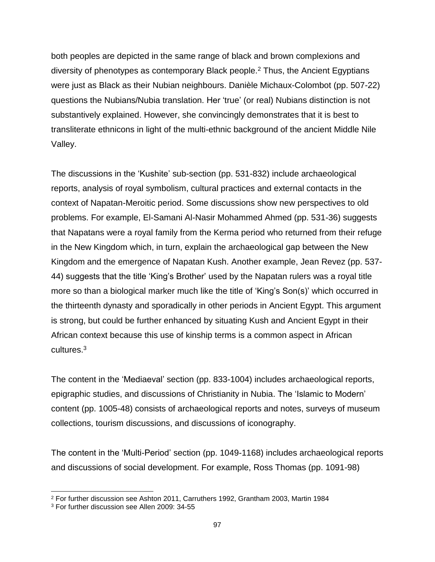both peoples are depicted in the same range of black and brown complexions and diversity of phenotypes as contemporary Black people.<sup>2</sup> Thus, the Ancient Egyptians were just as Black as their Nubian neighbours. Danièle Michaux-Colombot (pp. 507-22) questions the Nubians/Nubia translation. Her 'true' (or real) Nubians distinction is not substantively explained. However, she convincingly demonstrates that it is best to transliterate ethnicons in light of the multi-ethnic background of the ancient Middle Nile Valley.

The discussions in the 'Kushite' sub-section (pp. 531-832) include archaeological reports, analysis of royal symbolism, cultural practices and external contacts in the context of Napatan-Meroitic period. Some discussions show new perspectives to old problems. For example, El-Samani Al-Nasir Mohammed Ahmed (pp. 531-36) suggests that Napatans were a royal family from the Kerma period who returned from their refuge in the New Kingdom which, in turn, explain the archaeological gap between the New Kingdom and the emergence of Napatan Kush. Another example, Jean Revez (pp. 537- 44) suggests that the title 'King's Brother' used by the Napatan rulers was a royal title more so than a biological marker much like the title of 'King's Son(s)' which occurred in the thirteenth dynasty and sporadically in other periods in Ancient Egypt. This argument is strong, but could be further enhanced by situating Kush and Ancient Egypt in their African context because this use of kinship terms is a common aspect in African cultures.<sup>3</sup>

The content in the 'Mediaeval' section (pp. 833-1004) includes archaeological reports, epigraphic studies, and discussions of Christianity in Nubia. The 'Islamic to Modern' content (pp. 1005-48) consists of archaeological reports and notes, surveys of museum collections, tourism discussions, and discussions of iconography.

The content in the 'Multi-Period' section (pp. 1049-1168) includes archaeological reports and discussions of social development. For example, Ross Thomas (pp. 1091-98)

l

<sup>2</sup> For further discussion see Ashton 2011, Carruthers 1992, Grantham 2003, Martin 1984

<sup>3</sup> For further discussion see Allen 2009: 34-55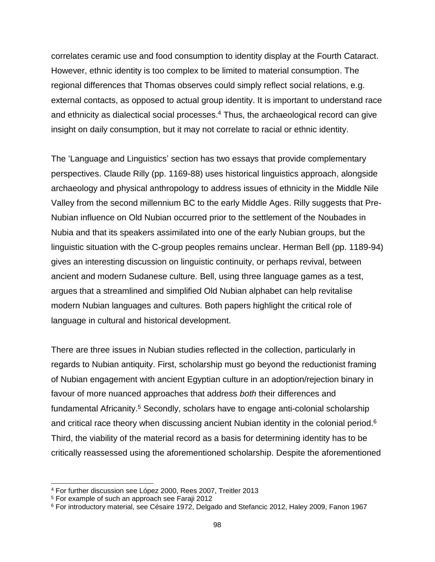correlates ceramic use and food consumption to identity display at the Fourth Cataract. However, ethnic identity is too complex to be limited to material consumption. The regional differences that Thomas observes could simply reflect social relations, e.g. external contacts, as opposed to actual group identity. It is important to understand race and ethnicity as dialectical social processes. <sup>4</sup> Thus, the archaeological record can give insight on daily consumption, but it may not correlate to racial or ethnic identity.

The 'Language and Linguistics' section has two essays that provide complementary perspectives. Claude Rilly (pp. 1169-88) uses historical linguistics approach, alongside archaeology and physical anthropology to address issues of ethnicity in the Middle Nile Valley from the second millennium BC to the early Middle Ages. Rilly suggests that Pre-Nubian influence on Old Nubian occurred prior to the settlement of the Noubades in Nubia and that its speakers assimilated into one of the early Nubian groups, but the linguistic situation with the C-group peoples remains unclear. Herman Bell (pp. 1189-94) gives an interesting discussion on linguistic continuity, or perhaps revival, between ancient and modern Sudanese culture. Bell, using three language games as a test, argues that a streamlined and simplified Old Nubian alphabet can help revitalise modern Nubian languages and cultures. Both papers highlight the critical role of language in cultural and historical development.

There are three issues in Nubian studies reflected in the collection, particularly in regards to Nubian antiquity. First, scholarship must go beyond the reductionist framing of Nubian engagement with ancient Egyptian culture in an adoption/rejection binary in favour of more nuanced approaches that address *both* their differences and fundamental Africanity.<sup>5</sup> Secondly, scholars have to engage anti-colonial scholarship and critical race theory when discussing ancient Nubian identity in the colonial period.<sup>6</sup> Third, the viability of the material record as a basis for determining identity has to be critically reassessed using the aforementioned scholarship. Despite the aforementioned

l

<sup>4</sup> For further discussion see López 2000, Rees 2007, Treitler 2013

<sup>5</sup> For example of such an approach see Faraji 2012

<sup>6</sup> For introductory material, see Césaire 1972, Delgado and Stefancic 2012, Haley 2009, Fanon 1967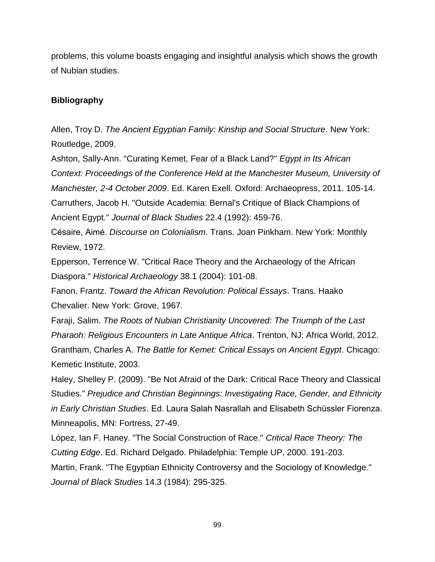problems, this volume boasts engaging and insightful analysis which shows the growth of Nubian studies.

## **Bibliography**

Allen, Troy D. *The Ancient Egyptian Family: Kinship and Social Structure*. New York: Routledge, 2009.

Ashton, Sally-Ann. "Curating Kemet, Fear of a Black Land?" *Egypt in Its African Context: Proceedings of the Conference Held at the Manchester Museum, University of Manchester, 2-4 October 2009*. Ed. Karen Exell. Oxford: Archaeopress, 2011. 105-14. Carruthers, Jacob H. "Outside Academia: Bernal's Critique of Black Champions of Ancient Egypt." *Journal of Black Studies* 22.4 (1992): 459-76.

Césaire, Aimé . *Discourse on Colonialism*. Trans. Joan Pinkham. New York: Monthly Review, 1972.

Epperson, Terrence W. "Critical Race Theory and the Archaeology of the African Diaspora." *Historical Archaeology* 38.1 (2004): 101-08.

Fanon, Frantz. *Toward the African Revolution: Political Essays*. Trans. Haako Chevalier. New York: Grove, 1967.

Faraji, Salim. *The Roots of Nubian Christianity Uncovered: The Triumph of the Last Pharaoh: Religious Encounters in Late Antique Africa*. Trenton, NJ: Africa World, 2012. Grantham, Charles A. *The Battle for Kemet: Critical Essays on Ancient Egypt*. Chicago: Kemetic Institute, 2003.

Haley, Shelley P. (2009). "Be Not Afraid of the Dark: Critical Race Theory and Classical Studies." *Prejudice and Christian Beginnings: Investigating Race, Gender, and Ethnicity in Early Christian Studies*. Ed. Laura Salah Nasrallah and Elisabeth Schüssler Fiorenza. Minneapolis, MN: Fortress, 27-49.

López, Ian F. Haney. "The Social Construction of Race." *Critical Race Theory: The Cutting Edge*. Ed. Richard Delgado. Philadelphia: Temple UP, 2000. 191-203. Martin, Frank. "The Egyptian Ethnicity Controversy and the Sociology of Knowledge."

*Journal of Black Studies* 14.3 (1984): 295-325.